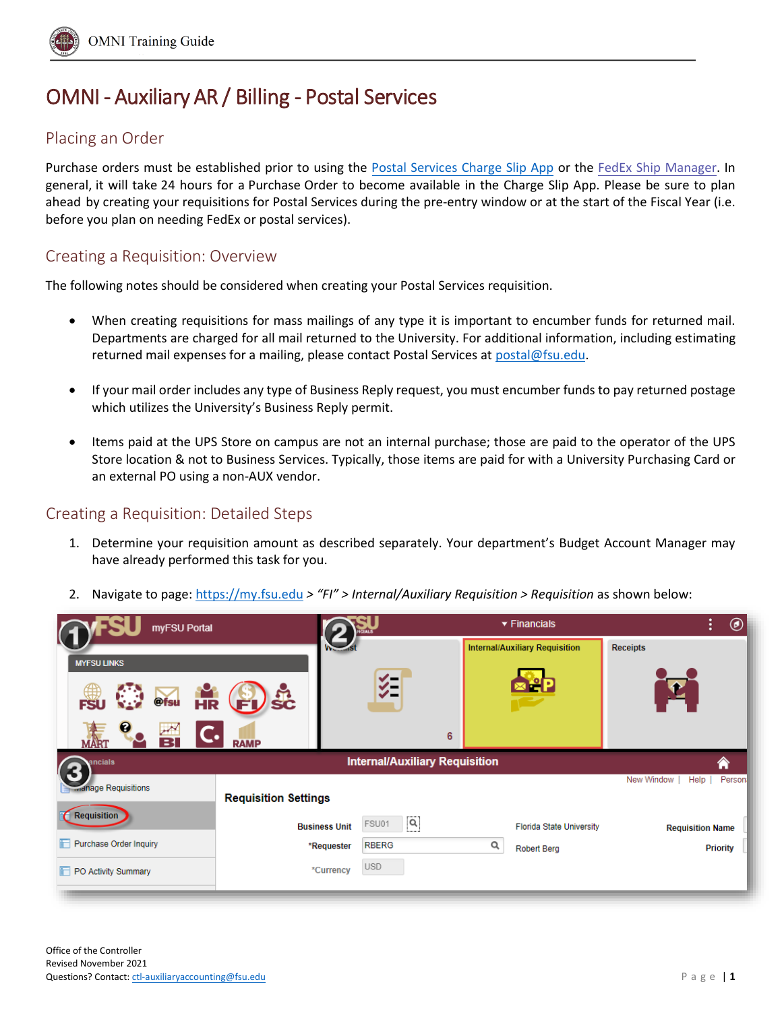

# OMNI - Auxiliary AR / Billing - Postal Services

## Placing an Order

Purchase orders must be established prior to using the [Postal Services Charge Slip App](http://chargeslipapp.obs.fsu.edu/) or the [FedEx Ship Manager](https://www.fedex.com/en-us/shipping/ship-manager.html). In general, it will take 24 hours for a Purchase Order to become available in the Charge Slip App. Please be sure to plan ahead by creating your requisitions for Postal Services during the pre-entry window or at the start of the Fiscal Year (i.e. before you plan on needing FedEx or postal services).

### Creating a Requisition: Overview

The following notes should be considered when creating your Postal Services requisition.

- When creating requisitions for mass mailings of any type it is important to encumber funds for returned mail. Departments are charged for all mail returned to the University. For additional information, including estimating returned mail expenses for a mailing, please contact Postal Services at [postal@fsu.edu.](mailto:postal@fsu.edu)
- If your mail order includes any type of Business Reply request, you must encumber funds to pay returned postage which utilizes the University's Business Reply permit.
- Items paid at the UPS Store on campus are not an internal purchase; those are paid to the operator of the UPS Store location & not to Business Services. Typically, those items are paid for with a University Purchasing Card or an external PO using a non-AUX vendor.

### Creating a Requisition: Detailed Steps

1. Determine your requisition amount as described separately. Your department's Budget Account Manager may have already performed this task for you.

|  |  | 2. Navigate to page: https://my.fsu.edu > "FI" > Internal/Auxiliary Requisition > Requisition as shown below: |  |  |  |  |  |
|--|--|---------------------------------------------------------------------------------------------------------------|--|--|--|--|--|
|--|--|---------------------------------------------------------------------------------------------------------------|--|--|--|--|--|

| myFSU Portal                                                  |                             |                                       | $\blacktriangledown$ Financials       | ÷<br>◉                            |
|---------------------------------------------------------------|-----------------------------|---------------------------------------|---------------------------------------|-----------------------------------|
|                                                               |                             |                                       | <b>Internal/Auxiliary Requisition</b> | <b>Receipts</b>                   |
| <b>MYFSU LINKS</b><br>@fsu<br>$\overline{\mathbf{HR}}$<br>ESI | 5c<br>E                     | ∛≣                                    |                                       |                                   |
| в                                                             | <b>RAMP</b>                 | 6                                     |                                       |                                   |
| ancials                                                       |                             | <b>Internal/Auxiliary Requisition</b> |                                       | ⋒<br>New Window<br>Person<br>Help |
| <b>Manage Requisitions</b>                                    | <b>Requisition Settings</b> |                                       |                                       |                                   |
| Requisition                                                   | <b>Business Unit</b>        | Q<br>FSU01                            | <b>Florida State University</b>       | <b>Requisition Name</b>           |
| Purchase Order Inquiry                                        | *Requester                  | <b>RBERG</b>                          | Q<br><b>Robert Berg</b>               | <b>Priority</b>                   |
| PO Activity Summary                                           | *Currency                   | <b>USD</b>                            |                                       |                                   |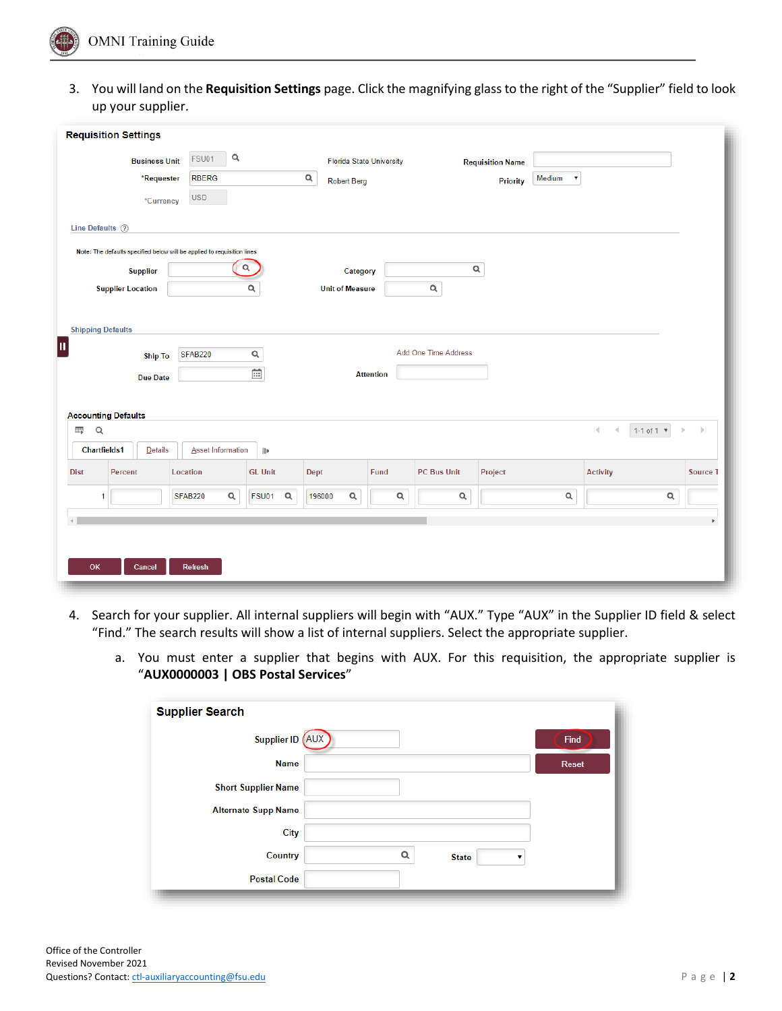

3. You will land on the **Requisition Settings** page. Click the magnifying glass to the right of the "Supplier" field to look up your supplier.

| <b>Requisition Settings</b><br>Q<br>FSU01<br><b>Business Unit</b><br><b>Florida State University</b><br><b>Requisition Name</b><br>$\mathsf Q$<br>Medium<br>*Requester<br><b>RBERG</b><br>$\pmb{\mathrm{v}}$<br><b>Robert Berg</b><br><b>Priority</b><br><b>USD</b><br>*Currency<br>Line Defaults 2 |                               |
|-----------------------------------------------------------------------------------------------------------------------------------------------------------------------------------------------------------------------------------------------------------------------------------------------------|-------------------------------|
|                                                                                                                                                                                                                                                                                                     |                               |
|                                                                                                                                                                                                                                                                                                     |                               |
|                                                                                                                                                                                                                                                                                                     |                               |
|                                                                                                                                                                                                                                                                                                     |                               |
|                                                                                                                                                                                                                                                                                                     |                               |
|                                                                                                                                                                                                                                                                                                     |                               |
| Note: The defaults specified below will be applied to requisition lines.                                                                                                                                                                                                                            |                               |
| $\alpha$<br>$\alpha$<br><b>Supplier</b><br>Category                                                                                                                                                                                                                                                 |                               |
| $\alpha$<br><b>Supplier Location</b><br>$\alpha$<br><b>Unit of Measure</b>                                                                                                                                                                                                                          |                               |
|                                                                                                                                                                                                                                                                                                     |                               |
| <b>Shipping Defaults</b>                                                                                                                                                                                                                                                                            |                               |
| μ                                                                                                                                                                                                                                                                                                   |                               |
| Add One Time Address<br>$\alpha$<br><b>SFAB220</b><br><b>Ship To</b>                                                                                                                                                                                                                                |                               |
| $\overline{\mathbb{H}}$<br><b>Attention</b><br><b>Due Date</b>                                                                                                                                                                                                                                      |                               |
|                                                                                                                                                                                                                                                                                                     |                               |
| <b>Accounting Defaults</b>                                                                                                                                                                                                                                                                          |                               |
| $\overline{\text{H}_\text{F}}$<br>$\hbox{\footnotesize{Q}}$<br>$ \cdot $<br>1-1 of 1 $*$<br>$\triangleleft$                                                                                                                                                                                         | $\left\vert \cdot\right\vert$ |
| <b>Chartfields1</b><br>Details<br><b>Asset Information</b><br>$\left\vert \right\vert$                                                                                                                                                                                                              |                               |
| <b>GL Unit</b><br>Dept<br>Fund<br>Project<br><b>Activity</b><br><b>Dist</b><br><b>Percent</b><br>Location<br>PC Bus Unit                                                                                                                                                                            | Source 1                      |
| $\mathsf Q$<br>$\mathsf Q$<br>Q<br>$\mathsf Q$<br>$\alpha$<br>$\alpha$<br><b>SFAB220</b><br>FSU01<br>196000<br>1                                                                                                                                                                                    | $\mathsf{Q}$                  |
|                                                                                                                                                                                                                                                                                                     |                               |
|                                                                                                                                                                                                                                                                                                     | b.                            |
|                                                                                                                                                                                                                                                                                                     |                               |
| OK<br>Cancel<br><b>Refresh</b>                                                                                                                                                                                                                                                                      |                               |
|                                                                                                                                                                                                                                                                                                     |                               |

- 4. Search for your supplier. All internal suppliers will begin with "AUX." Type "AUX" in the Supplier ID field & select "Find." The search results will show a list of internal suppliers. Select the appropriate supplier.
	- a. You must enter a supplier that begins with AUX. For this requisition, the appropriate supplier is "**AUX0000003 | OBS Postal Services**"

| <b>Supplier Search</b>     |   |              |              |
|----------------------------|---|--------------|--------------|
| Supplier ID (AUX)          |   |              | Find         |
| <b>Name</b>                |   |              | <b>Reset</b> |
| <b>Short Supplier Name</b> |   |              |              |
| <b>Alternate Supp Name</b> |   |              |              |
| City                       |   |              |              |
| Country                    | Q | <b>State</b> |              |
| <b>Postal Code</b>         |   |              |              |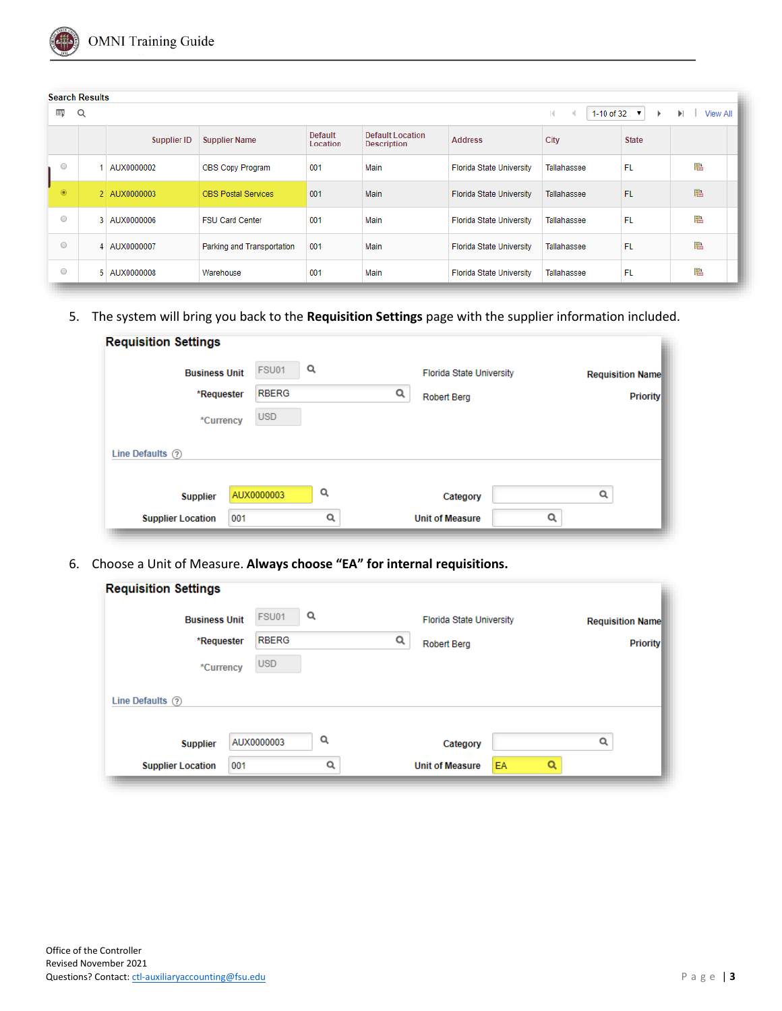

|                | <b>Search Results</b> |              |                            |                            |                                               |                                 |                  |                   |                      |
|----------------|-----------------------|--------------|----------------------------|----------------------------|-----------------------------------------------|---------------------------------|------------------|-------------------|----------------------|
| 野              | Q                     |              |                            |                            |                                               |                                 | 1-10 of 32<br>K. | $\mathbf{v}$<br>Þ | ы<br><b>View All</b> |
|                |                       | Supplier ID  | <b>Supplier Name</b>       | <b>Default</b><br>Location | <b>Default Location</b><br><b>Description</b> | <b>Address</b>                  | City             | <b>State</b>      |                      |
| $\circ$        |                       | AUX0000002   | OBS Copy Program           | 001                        | Main                                          | <b>Florida State University</b> | Tallahassee      | FL.               | 鶝                    |
| $\circledcirc$ |                       | 2 AUX0000003 | <b>OBS Postal Services</b> | 001                        | Main                                          | <b>Florida State University</b> | Tallahassee      | <b>FL</b>         | 暑                    |
| $\circ$        |                       | 3 AUX0000006 | <b>FSU Card Center</b>     | 001                        | Main                                          | <b>Florida State University</b> | Tallahassee      | FL.               | 鶝                    |
| $\circ$        |                       | 4 AUX0000007 | Parking and Transportation | 001                        | Main                                          | <b>Florida State University</b> | Tallahassee      | FL.               | 鶝                    |
| $\circ$        | 5.                    | AUX0000008   | Warehouse                  | 001                        | Main                                          | <b>Florida State University</b> | Tallahassee      | FL.               | 鶝                    |

5. The system will bring you back to the **Requisition Settings** page with the supplier information included.

| <b>Business Unit</b>                 | FSU01        | Q | <b>Florida State University</b> | <b>Requisition Name</b> |
|--------------------------------------|--------------|---|---------------------------------|-------------------------|
| *Requester                           | <b>RBERG</b> |   | Q<br><b>Robert Berg</b>         | <b>Priority</b>         |
| *Currency                            | <b>USD</b>   |   |                                 |                         |
|                                      |              |   |                                 |                         |
|                                      |              |   |                                 |                         |
| Line Defaults (?)<br><b>Supplier</b> | AUX0000003   | Q | Category                        | Q                       |

6. Choose a Unit of Measure. **Always choose "EA" for internal requisitions.**

| <b>Requisition Settings</b> |              |   |  |                                 |    |   |                         |  |
|-----------------------------|--------------|---|--|---------------------------------|----|---|-------------------------|--|
| <b>Business Unit</b>        | FSU01        | Q |  | <b>Florida State University</b> |    |   | <b>Requisition Name</b> |  |
| *Requester                  | <b>RBERG</b> | Q |  | <b>Robert Berg</b>              |    |   | <b>Priority</b>         |  |
| *Currency                   | <b>USD</b>   |   |  |                                 |    |   |                         |  |
| Line Defaults (?)           |              |   |  |                                 |    |   |                         |  |
| <b>Supplier</b>             | AUX0000003   | Q |  | Category                        |    |   | Q                       |  |
| <b>Supplier Location</b>    | 001          | Q |  | <b>Unit of Measure</b>          | EA | Q |                         |  |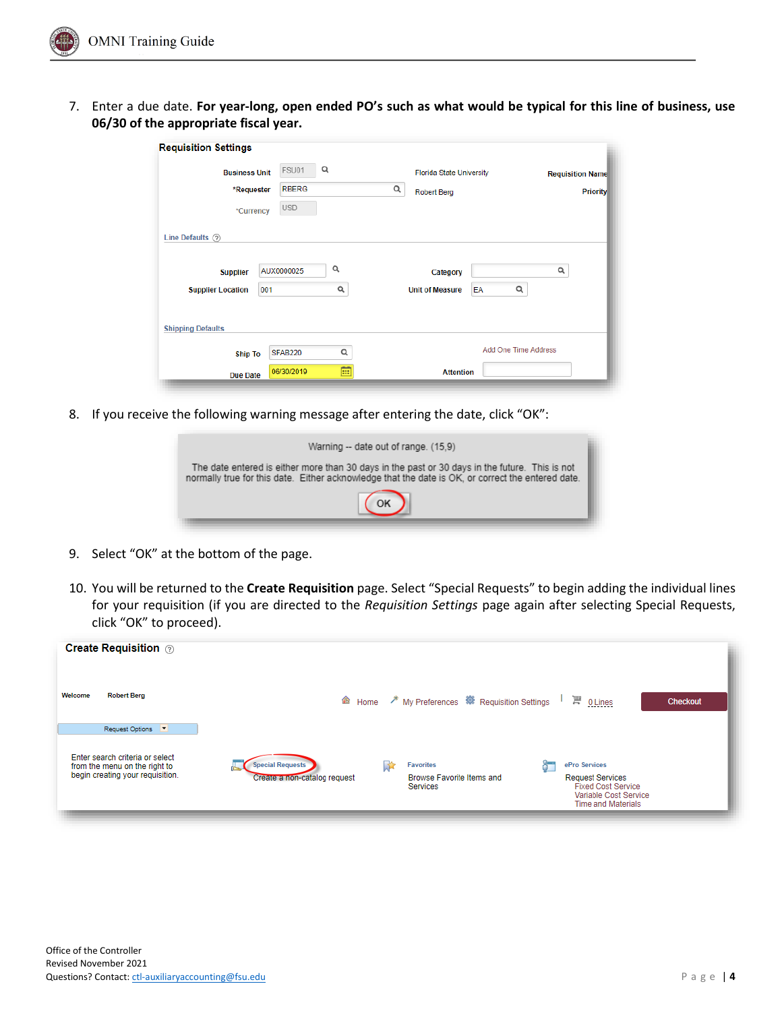

7. Enter a due date. **For year-long, open ended PO's such as what would be typical for this line of business, use 06/30 of the appropriate fiscal year.**

| <b>Requisition Settings</b> |                |   |                                   |                         |
|-----------------------------|----------------|---|-----------------------------------|-------------------------|
| <b>Business Unit</b>        | FSU01          | Q | <b>Florida State University</b>   | <b>Requisition Name</b> |
| *Requester                  | <b>RBERG</b>   |   | Q<br><b>Robert Berg</b>           | <b>Priority</b>         |
| *Currency                   | <b>USD</b>     |   |                                   |                         |
| Line Defaults (?)           |                |   |                                   |                         |
| <b>Supplier</b>             | AUX0000025     | Q | Category                          | Q                       |
| <b>Supplier Location</b>    | 001            | Q | Q<br><b>Unit of Measure</b><br>EA |                         |
| <b>Shipping Defaults</b>    |                |   |                                   |                         |
| <b>Ship To</b>              | <b>SFAB220</b> | Q | Add One Time Address              |                         |
| <b>Due Date</b>             | 06/30/2019     | 前 | <b>Attention</b>                  |                         |

8. If you receive the following warning message after entering the date, click "OK":

| Warning -- date out of range. (15.9)                                                                                                                                                                |  |
|-----------------------------------------------------------------------------------------------------------------------------------------------------------------------------------------------------|--|
| The date entered is either more than 30 days in the past or 30 days in the future. This is not<br>normally true for this date. Either acknowledge that the date is OK, or correct the entered date. |  |
|                                                                                                                                                                                                     |  |
|                                                                                                                                                                                                     |  |

- 9. Select "OK" at the bottom of the page.
- 10. You will be returned to the **Create Requisition** page. Select "Special Requests" to begin adding the individual lines for your requisition (if you are directed to the *Requisition Settings* page again after selecting Special Requests, click "OK" to proceed).

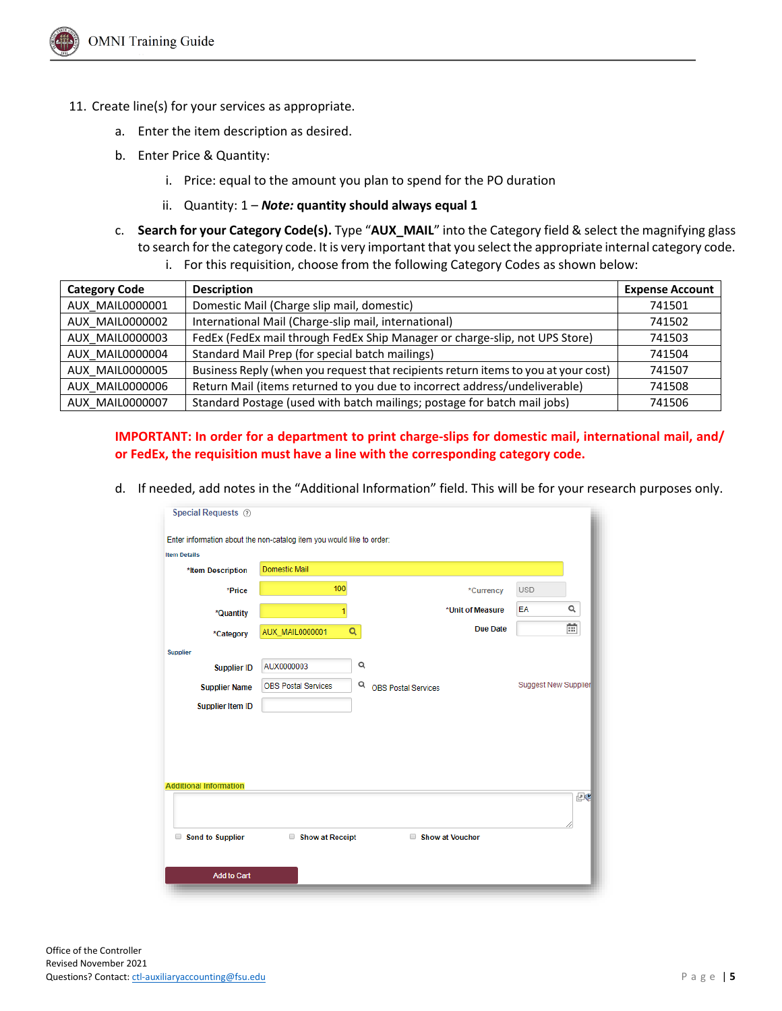- 11. Create line(s) for your services as appropriate.
	- a. Enter the item description as desired.
	- b. Enter Price & Quantity:
		- i. Price: equal to the amount you plan to spend for the PO duration
		- ii. Quantity: 1 *Note:* **quantity should always equal 1**
	- c. **Search for your Category Code(s).** Type "**AUX\_MAIL**" into the Category field & select the magnifying glass to search for the category code. It is very important that you select the appropriate internal category code.
		- i. For this requisition, choose from the following Category Codes as shown below:

| <b>Category Code</b> | <b>Description</b>                                                                 | <b>Expense Account</b> |
|----------------------|------------------------------------------------------------------------------------|------------------------|
| AUX MAIL0000001      | Domestic Mail (Charge slip mail, domestic)                                         | 741501                 |
| AUX MAIL0000002      | International Mail (Charge-slip mail, international)                               | 741502                 |
| AUX MAIL0000003      | FedEx (FedEx mail through FedEx Ship Manager or charge-slip, not UPS Store)        | 741503                 |
| AUX MAIL0000004      | Standard Mail Prep (for special batch mailings)                                    | 741504                 |
| AUX MAIL0000005      | Business Reply (when you request that recipients return items to you at your cost) | 741507                 |
| AUX MAIL0000006      | Return Mail (items returned to you due to incorrect address/undeliverable)         | 741508                 |
| AUX MAIL0000007      | Standard Postage (used with batch mailings; postage for batch mail jobs)           | 741506                 |

#### **IMPORTANT: In order for a department to print charge-slips for domestic mail, international mail, and/ or FedEx, the requisition must have a line with the corresponding category code.**

d. If needed, add notes in the "Additional Information" field. This will be for your research purposes only.

| <b>Item Details</b>           | Enter information about the non-catalog item you would like to order: |                            |                  |                             |    |
|-------------------------------|-----------------------------------------------------------------------|----------------------------|------------------|-----------------------------|----|
| *Item Description             | <b>Domestic Mail</b>                                                  |                            |                  |                             |    |
| *Price                        | 100                                                                   |                            | *Currency        | <b>USD</b>                  |    |
| *Quantity                     | 1                                                                     |                            | *Unit of Measure | EA                          | Q  |
| *Category                     | Q<br><b>AUX_MAIL0000001</b>                                           |                            | <b>Due Date</b>  |                             | Ē  |
| Supplier                      |                                                                       |                            |                  |                             |    |
| <b>Supplier ID</b>            | Q<br>AUX0000003                                                       |                            |                  |                             |    |
| <b>Supplier Name</b>          | Q<br><b>OBS Postal Services</b>                                       | <b>OBS Postal Services</b> |                  | <b>Suggest New Supplier</b> |    |
| <b>Supplier Item ID</b>       |                                                                       |                            |                  |                             |    |
| <b>Additional Information</b> |                                                                       |                            |                  |                             | 四心 |
| Send to Supplier              | Show at Receipt                                                       |                            | Show at Voucher  |                             |    |
| <b>Add to Cart</b>            |                                                                       |                            |                  |                             |    |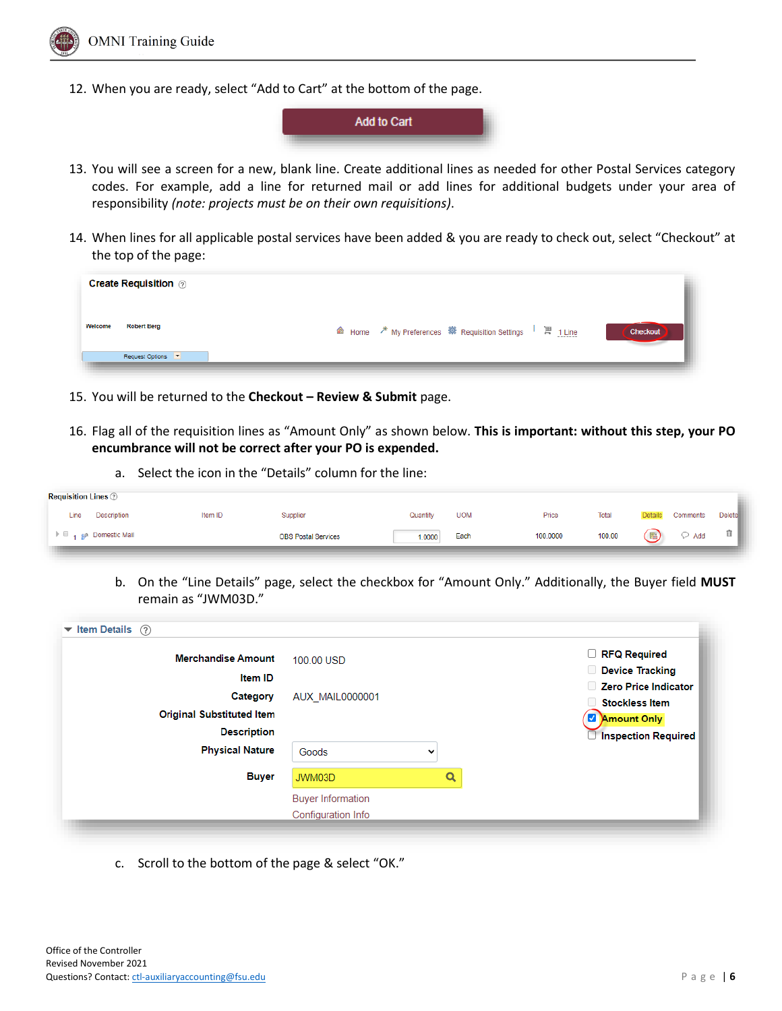

12. When you are ready, select "Add to Cart" at the bottom of the page.



- 13. You will see a screen for a new, blank line. Create additional lines as needed for other Postal Services category codes. For example, add a line for returned mail or add lines for additional budgets under your area of responsibility *(note: projects must be on their own requisitions)*.
- 14. When lines for all applicable postal services have been added & you are ready to check out, select "Checkout" at the top of the page:

| <b>Create Requisition</b> 2   |                 |
|-------------------------------|-----------------|
| Welcome<br><b>Robert Berg</b> | <b>Checkout</b> |
| Request Options               |                 |

- 15. You will be returned to the **Checkout – Review & Submit** page.
- 16. Flag all of the requisition lines as "Amount Only" as shown below. **This is important: without this step, your PO encumbrance will not be correct after your PO is expended.**
	- a. Select the icon in the "Details" column for the line:

| <b>Requisition Lines</b> 2 |         |                            |          |            |          |        |         |          |               |  |
|----------------------------|---------|----------------------------|----------|------------|----------|--------|---------|----------|---------------|--|
| <b>Description</b><br>Line | Item ID | Supplier                   | Quantity | <b>UOM</b> | Price    | Total  | Details | Comments | <b>Delete</b> |  |
| 1 <b>Pomestic Mail</b>     |         | <b>OBS Postal Services</b> | 1.0000   | Each       | 100.0000 | 100.00 |         | Add      | 宜             |  |
|                            |         |                            |          |            |          |        |         |          |               |  |

b. On the "Line Details" page, select the checkbox for "Amount Only." Additionally, the Buyer field **MUST** remain as "JWM03D."

| <b>Merchandise Amount</b>        | 100.00 USD               |   |   | RFQ Required               |
|----------------------------------|--------------------------|---|---|----------------------------|
| <b>Item ID</b>                   |                          |   |   | Device Tracking            |
| Category                         | <b>AUX MAIL0000001</b>   |   |   | Zero Price Indicator       |
| <b>Original Substituted Item</b> |                          |   |   | <b>Stockless Item</b>      |
| <b>Description</b>               |                          |   |   | Amount Only                |
| <b>Physical Nature</b>           | Goods                    | 丷 |   | <b>Inspection Required</b> |
| <b>Buyer</b>                     | JWM03D                   |   | Q |                            |
|                                  | <b>Buyer Information</b> |   |   |                            |
|                                  | Configuration Info       |   |   |                            |

c. Scroll to the bottom of the page & select "OK."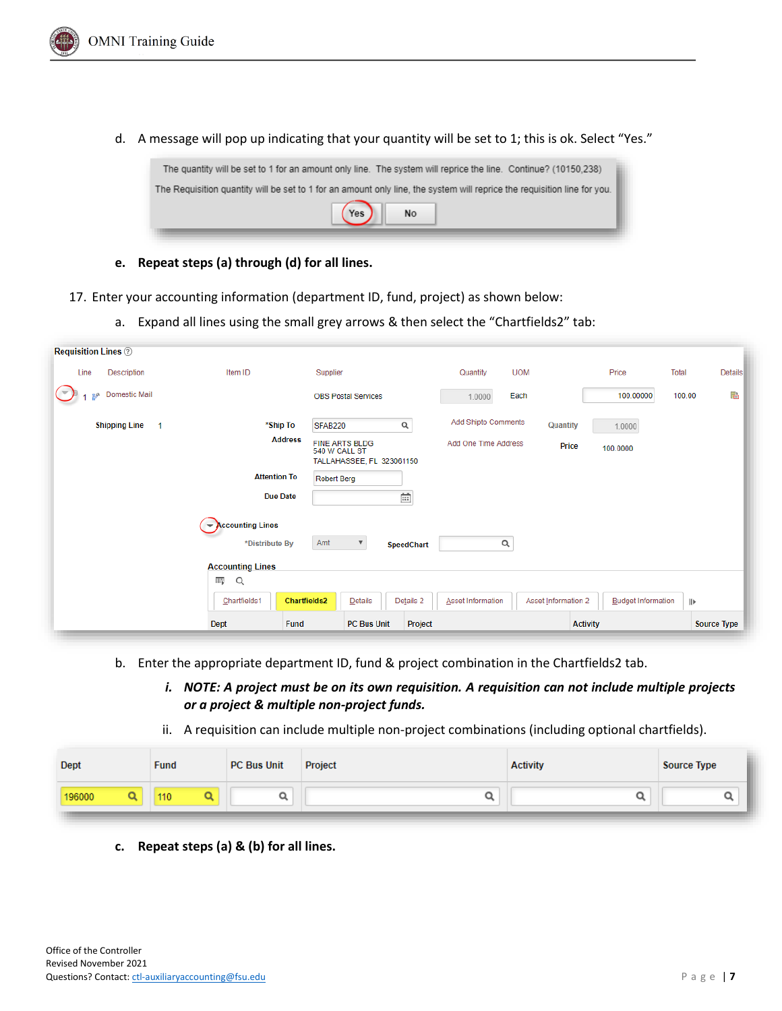

d. A message will pop up indicating that your quantity will be set to 1; this is ok. Select "Yes."



- **e. Repeat steps (a) through (d) for all lines.**
- 17. Enter your accounting information (department ID, fund, project) as shown below:
	- a. Expand all lines using the small grey arrows & then select the "Chartfields2" tab:

| <b>Requisition Lines</b> 2                                                                                      |                                     |                                                                     |                      |                     |                           |              |                    |  |
|-----------------------------------------------------------------------------------------------------------------|-------------------------------------|---------------------------------------------------------------------|----------------------|---------------------|---------------------------|--------------|--------------------|--|
| Description<br>Line                                                                                             | Item ID                             | Supplier                                                            | Quantity             | <b>UOM</b>          | Price                     | <b>Total</b> | Details            |  |
| Domestic Mail<br>oth                                                                                            |                                     | <b>OBS Postal Services</b>                                          | Each<br>1.0000       |                     | 100.00000                 | 100.00       | 語                  |  |
| <b>Shipping Line</b><br>1                                                                                       | *Ship To                            | $\alpha$<br>SFAB220                                                 | Add Shipto Comments  | <b>Quantity</b>     | 1.0000                    |              |                    |  |
|                                                                                                                 | <b>Address</b>                      | <b>FINE ARTS BLDG</b><br>540 W CALL ST<br>TALLAHASSEE, FL 323061150 | Add One Time Address | Price               | 100.0000                  |              |                    |  |
|                                                                                                                 | <b>Attention To</b>                 | <b>Robert Berg</b>                                                  |                      |                     |                           |              |                    |  |
|                                                                                                                 | <b>Due Date</b>                     | $\overline{111}$                                                    |                      |                     |                           |              |                    |  |
| $\blacktriangleright$ Accounting Lines<br>Amt<br>Q<br>*Distribute By<br>$\boldsymbol{\mathrm{v}}$<br>SpeedChart |                                     |                                                                     |                      |                     |                           |              |                    |  |
|                                                                                                                 | <b>Accounting Lines</b><br>羁<br>Q   |                                                                     |                      |                     |                           |              |                    |  |
|                                                                                                                 | <b>Chartfields2</b><br>Chartfields1 | Details<br>Details 2                                                | Asset Information    | Asset Information 2 | <b>Budget Information</b> | IIÞ          |                    |  |
|                                                                                                                 | Dept<br>Fund                        | PC Bus Unit<br>Project                                              |                      |                     | <b>Activity</b>           |              | <b>Source Type</b> |  |

- b. Enter the appropriate department ID, fund & project combination in the Chartfields2 tab.
	- *i. NOTE: A project must be on its own requisition. A requisition can not include multiple projects or a project & multiple non-project funds.*
	- ii. A requisition can include multiple non-project combinations (including optional chartfields).

| Dept   | <b>Fund</b> | <b>PC Bus Unit</b> | Project | <b>Activity</b> | <b>Source Type</b> |  |
|--------|-------------|--------------------|---------|-----------------|--------------------|--|
| 196000 | 110         |                    |         |                 |                    |  |

**c. Repeat steps (a) & (b) for all lines.**